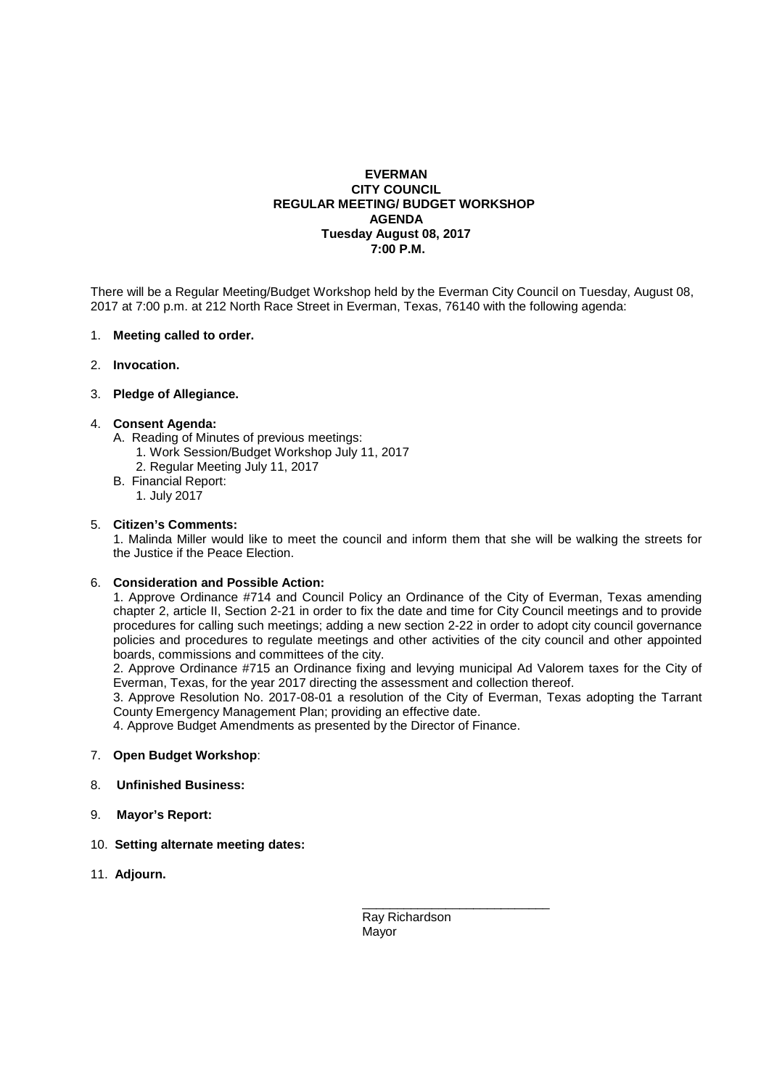# **EVERMAN CITY COUNCIL REGULAR MEETING/ BUDGET WORKSHOP AGENDA Tuesday August 08, 2017 7:00 P.M.**

There will be a Regular Meeting/Budget Workshop held by the Everman City Council on Tuesday, August 08, 2017 at 7:00 p.m. at 212 North Race Street in Everman, Texas, 76140 with the following agenda:

#### 1. **Meeting called to order.**

2. **Invocation.** 

## 3. **Pledge of Allegiance.**

#### 4. **Consent Agenda:**

- A. Reading of Minutes of previous meetings:
	- 1. Work Session/Budget Workshop July 11, 2017
	- 2. Regular Meeting July 11, 2017
- B. Financial Report:
	- 1. July 2017

#### 5. **Citizen's Comments:**

1. Malinda Miller would like to meet the council and inform them that she will be walking the streets for the Justice if the Peace Election.

## 6. **Consideration and Possible Action:**

 1. Approve Ordinance #714 and Council Policy an Ordinance of the City of Everman, Texas amending chapter 2, article II, Section 2-21 in order to fix the date and time for City Council meetings and to provide procedures for calling such meetings; adding a new section 2-22 in order to adopt city council governance policies and procedures to regulate meetings and other activities of the city council and other appointed boards, commissions and committees of the city.

 2. Approve Ordinance #715 an Ordinance fixing and levying municipal Ad Valorem taxes for the City of Everman, Texas, for the year 2017 directing the assessment and collection thereof.

 3. Approve Resolution No. 2017-08-01 a resolution of the City of Everman, Texas adopting the Tarrant County Emergency Management Plan; providing an effective date.

4. Approve Budget Amendments as presented by the Director of Finance.

# 7. **Open Budget Workshop**:

# 8. **Unfinished Business:**

- 9. **Mayor's Report:**
- 10. **Setting alternate meeting dates:**
- 11. **Adjourn.**

 \_\_\_\_\_\_\_\_\_\_\_\_\_\_\_\_\_\_\_\_\_\_\_\_\_\_\_ Ray Richardson Mayor